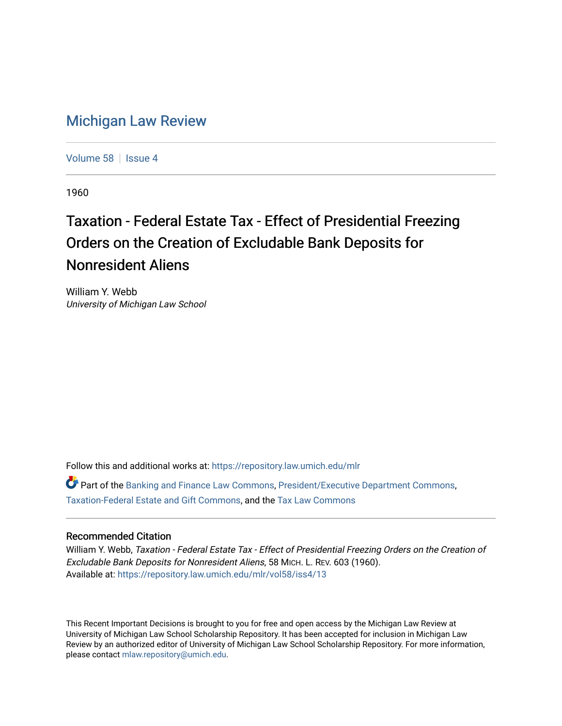## [Michigan Law Review](https://repository.law.umich.edu/mlr)

[Volume 58](https://repository.law.umich.edu/mlr/vol58) | [Issue 4](https://repository.law.umich.edu/mlr/vol58/iss4)

1960

## Taxation - Federal Estate Tax - Effect of Presidential Freezing Orders on the Creation of Excludable Bank Deposits for Nonresident Aliens

William Y. Webb University of Michigan Law School

Follow this and additional works at: [https://repository.law.umich.edu/mlr](https://repository.law.umich.edu/mlr?utm_source=repository.law.umich.edu%2Fmlr%2Fvol58%2Fiss4%2F13&utm_medium=PDF&utm_campaign=PDFCoverPages) 

Part of the [Banking and Finance Law Commons,](http://network.bepress.com/hgg/discipline/833?utm_source=repository.law.umich.edu%2Fmlr%2Fvol58%2Fiss4%2F13&utm_medium=PDF&utm_campaign=PDFCoverPages) [President/Executive Department Commons,](http://network.bepress.com/hgg/discipline/1118?utm_source=repository.law.umich.edu%2Fmlr%2Fvol58%2Fiss4%2F13&utm_medium=PDF&utm_campaign=PDFCoverPages) [Taxation-Federal Estate and Gift Commons](http://network.bepress.com/hgg/discipline/880?utm_source=repository.law.umich.edu%2Fmlr%2Fvol58%2Fiss4%2F13&utm_medium=PDF&utm_campaign=PDFCoverPages), and the [Tax Law Commons](http://network.bepress.com/hgg/discipline/898?utm_source=repository.law.umich.edu%2Fmlr%2Fvol58%2Fiss4%2F13&utm_medium=PDF&utm_campaign=PDFCoverPages) 

## Recommended Citation

William Y. Webb, Taxation - Federal Estate Tax - Effect of Presidential Freezing Orders on the Creation of Excludable Bank Deposits for Nonresident Aliens, 58 MICH. L. REV. 603 (1960). Available at: [https://repository.law.umich.edu/mlr/vol58/iss4/13](https://repository.law.umich.edu/mlr/vol58/iss4/13?utm_source=repository.law.umich.edu%2Fmlr%2Fvol58%2Fiss4%2F13&utm_medium=PDF&utm_campaign=PDFCoverPages) 

This Recent Important Decisions is brought to you for free and open access by the Michigan Law Review at University of Michigan Law School Scholarship Repository. It has been accepted for inclusion in Michigan Law Review by an authorized editor of University of Michigan Law School Scholarship Repository. For more information, please contact [mlaw.repository@umich.edu.](mailto:mlaw.repository@umich.edu)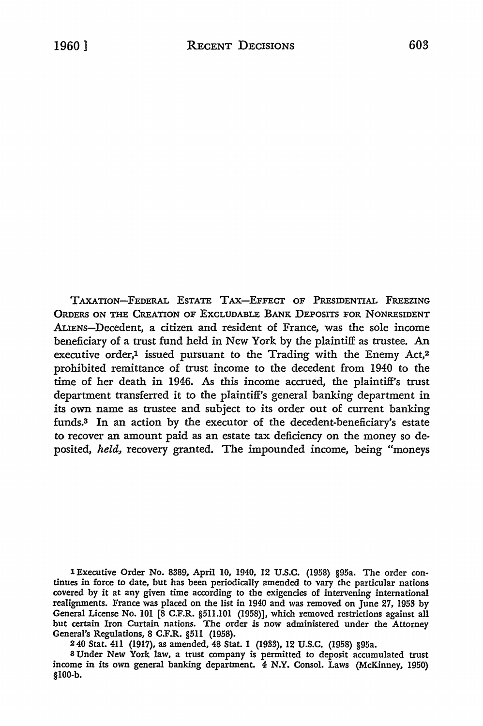TAXATION-FEDERAL ESTATE TAX-EFFECT OF PRESIDENTIAL FREEZING ORDERS ON THE CREATION OF ExcLUDABLE BANK DEPOSITS FOR NONRESIDENT ALIENS-Decedent, a citizen and resident of France, was the sole income beneficiary of a trust fund held in New York by the plaintiff as trustee. An executive order, $1$  issued pursuant to the Trading with the Enemy Act, $2$ prohibited remittance of trust income to the decedent from 1940 to the time of her death in 1946. As this income accrued, the plaintiff's trust department transferred it to the plaintiff's general banking department in its own name as trustee and subject to its order out of current banking funds.3 In an action by the executor of the decedent-beneficiary's estate to recover an amount paid as an estate tax deficiency on the money so deposited, *held,* recovery granted. The impounded income, being "moneys

1 Executive Order No. 8389, April IO, 1940, 12 U .S.C. (1958) §95a. The order continues in force to date, but has been periodically amended to vary the particular nations covered by it at any given time according to the exigencies of intervening international realignments. France was placed on the list in 1940 and was removed on June 27, 1953 by General License No. 101 [8 C.F.R. §511.101 (1958)], which removed restrictions against all but certain Iron Curtain nations. The order is now administered under the Attorney General's Regulations, 8 C.F.R. §511 (1958).

2 40 Stat. 411 (1917), as amended, 48 Stat. I (1933), 12 U.S.C. (1958) §95a.

3 Under New York law, a trust company is permitted to deposit accumulated trust income in its own general banking department. 4 N.Y. Consol. Laws (McKinney, 1950) §100-b.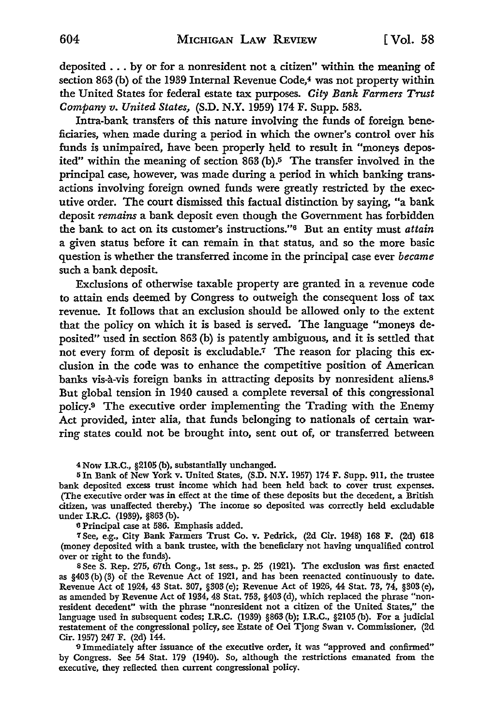deposited  $\ldots$  by or for a nonresident not a citizen" within the meaning of section 863 (b) of the 1939 Internal Revenue Code,<sup>4</sup> was not property within the United States for federal estate tax purposes. *City Bank Farmers Trust Company v. United States,* (S.D. N.Y. 1959) 174 F. Supp. 583.

Intra-bank transfers of this nature involving the funds of foreign beneficiaries, when made during a period in which the owner's control over his funds is unimpaired, have been properly held to result in "moneys deposited" within the meaning of section 863 (b).5 The transfer involved in the principal case, however, was made during a period in which banking transactions involving foreign owned funds were greatly restricted by the executive order. The court dismissed this factual distinction by saying, "a bank deposit *remains* a bank deposit even though the Government has forbidden the bank to act on its customer's instructions.''6 But an entity must *attain*  a given status before it can remain in that status, and so the more basic question is whether the transferred income in the principal case ever *became*  such a bank deposit.

Exclusions of otherwise taxable property are granted in a revenue code to attain ends deemed by Congress to outweigh the consequent loss of tax revenue. It follows that an exclusion should be allowed only to the extent that the policy on which it is based is served. The language "moneys deposited" used in section 863 (b) is patently ambiguous, and it is settled that not every form of deposit is excludable.7 The reason for placing this exclusion in the code was to enhance the competitive position of American banks vis-a-vis foreign banks in attracting deposits by nonresident aliens.<sup>8</sup> But global tension in 1940 caused a complete reversal of this congressional policy.9 The executive order implementing the Trading with the Enemy Act provided, inter alia, that funds belonging to nationals of certain warring states could not be brought into, sent out of, or transferred between

4 Now **I.R.C.,** §2105 (b), substantially unchanged.

<sup>5</sup>In Bank of New York v. United States, (S.D. **N.Y.** 1957) 174- F. Supp. 911, the trustee bank deposited excess trust income which had been held back to cover trust expenses. (The executive order was in effect at the time of these deposits but the decedent, a British citizen, was unaffected thereby.) The income so deposited was correctly held excludable under I.R.C. (1939), §863 (b).

<sup>6</sup>Principal case at 586. Emphasis added.

<sup>7</sup>See, e.g., City Bank Farmers Trust Co. v. Pedrick, (2d Cir. 1948) 168 F. (2d) 618 (money deposited with a bank trustee, with the beneficiary not having unqualified control over or right to the funds).

s See S. Rep. 275, 67th Cong., 1st sess., p. 25 (1921). The exclusion was first enacted as  $§403$  (b) (3) of the Revenue Act of 1921, and has been reenacted continuously to date. Revenue Act of 1924, 43 Stat. 307, §303 (e); Revenue Act of 1926, 44 Stat. 73, 74, §303 (e), as amended by Revenue Act of 1934, 48 Stat. 753, §403 (d), which replaced the phrase "nonresident decedent" with the phrase "nonresident not a citizen of the United States," the language used in subsequent codes; **I.R.C.** (1939) §863 (b); **I.R.C.,** §2105 (b). For a judicial restatement of the congressional policy, see Estate of Oei Tjong Swan v. Commissioner, (2d Cir. 1957) 247 F. (2d) 144.

<sup>9</sup>Immediately after issuance of the executive order, it was "approved and confirmed" by Congress. See 54 Stat. 179 (1940). So, although the restrictions emanated from the executive, they reflected then current congressional policy.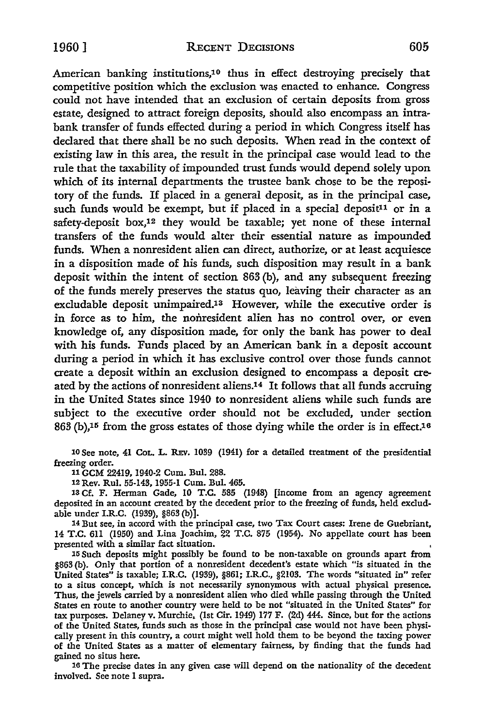American banking institutions,10 thus in effect destroying precisely that competitive position which the exclusion was enacted to enhance. Congress could not have intended that an exclusion of certain deposits from gross estate, designed to attract foreign deposits, should also encompass an intrabank transfer of funds effected during a period in which Congress itself has declared that there shall be no such deposits. When read in the context of existing law in this area, the result in the principal case would lead to the rule that the taxability of impounded trust funds would depend solely upon which of its internal departments the trustee bank chose to be the repository of the funds. If placed in a general deposit, as in the principal case, such funds would be exempt, but if placed in a special deposit<sup>11</sup> or in a safety-deposit box,<sup>12</sup> they would be taxable; yet none of these internal transfers of the funds would alter their essential nature as impounded funds. When a nonresident alien can direct, authorize, or at least acquiesce in a disposition made of his funds, such disposition may result in a bank deposit within the intent of section 863 (b), and any subsequent freezing of the funds merely preserves the status quo, leaving their character as an excludable deposit unimpaired.13 However, while the executive order is in force as to him, the nonresident alien has no control over, or even knowledge of, any disposition made, for only the bank has power to deal with his funds. Funds placed by an American bank in a deposit account during a period in which it has exclusive control over those funds cannot create a deposit within an exclusion designed to encompass a deposit created by the actions of nonresident aliens.<sup>14</sup> It follows that all funds accruing in the United States since 1940 to nonresident aliens while such funds are subject to the executive order should not be excluded, under section  $863$  (b),<sup>15</sup> from the gross estates of those dying while the order is in effect.<sup>16</sup>

10 See note, 41 CoL. L. REv. 1039 (1941) for a detailed treatment of the presidential freezing order.

11 GCM 22419, 1940-2 Cum. Bui. 288.

12 Rev. Rul. 55-143, 1955-1 Cum. Bui. 465.

18 Cf. F. Herman Gade, IO T.C. 585 (1948) [income from an agency agreement deposited in an account created by the decedent prior to the freezing of funds, held excludable under I.R.C. (1939), §863 (b)].

14 But see, in accord with the principal case, two Tax Court cases: Irene de Guebriant, 14 T.C. 611 (1950) and Lina Joachim, 22 T.C. 875 (1954). No appellate court has been presented with a similar fact situation.

15 Such deposits might possibly be found to be non-taxable on grounds apart from §863 (b). Only that portion of a nonresident decedent's estate which "is situated in the United States" is taxable; I.R.C. (1939), §861; I.R.C., §2103. The words "situated in" refer to a situs concept, which is not necessarily synonymous with actual physical presence. Thus, the jewels carried by a nonresident alien who died while passing through the United States en route to another country were held to be not "situated in the United States" for tax purposes. Delaney v. Murchie. (1st Cir. 1949) 177 F. (2d) 444. Since, but for the actions of the United States, funds such as those in the principal case would not have been physically present in this country, a court might well hold them to be beyond the taxing power of the United States as a matter of elementary fairness, by finding that the funds had gained no situs here.

16 The precise dates in any given case will depend on the nationality of the decedent involved. See note I supra.